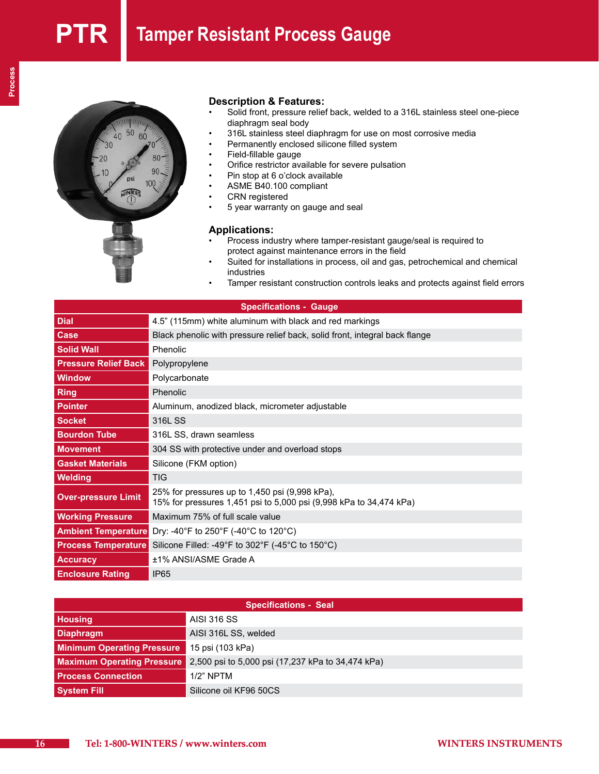# **PTR** Tamper Resistant Process Gauge



## **Description & Features:**

- Solid front, pressure relief back, welded to a 316L stainless steel one-piece diaphragm seal body
- 316L stainless steel diaphragm for use on most corrosive media
- Permanently enclosed silicone filled system
- Field-fillable gauge
- Orifice restrictor available for severe pulsation
- • Pin stop at 6 o'clock available
- • ASME B40.100 compliant
- • CRN registered
- 5 year warranty on gauge and seal

### **Applications:**

- Process industry where tamper-resistant gauge/seal is required to protect against maintenance errors in the field
- Suited for installations in process, oil and gas, petrochemical and chemical industries
- Tamper resistant construction controls leaks and protects against field errors

| <b>Specifications - Gauge</b> |                                                                                                                      |  |  |
|-------------------------------|----------------------------------------------------------------------------------------------------------------------|--|--|
| <b>Dial</b>                   | 4.5" (115mm) white aluminum with black and red markings                                                              |  |  |
| Case                          | Black phenolic with pressure relief back, solid front, integral back flange                                          |  |  |
| <b>Solid Wall</b>             | Phenolic                                                                                                             |  |  |
| <b>Pressure Relief Back</b>   | Polypropylene                                                                                                        |  |  |
| <b>Window</b>                 | Polycarbonate                                                                                                        |  |  |
| <b>Ring</b>                   | Phenolic                                                                                                             |  |  |
| <b>Pointer</b>                | Aluminum, anodized black, micrometer adjustable                                                                      |  |  |
| <b>Socket</b>                 | 316L SS                                                                                                              |  |  |
| <b>Bourdon Tube</b>           | 316L SS, drawn seamless                                                                                              |  |  |
| <b>Movement</b>               | 304 SS with protective under and overload stops                                                                      |  |  |
| <b>Gasket Materials</b>       | Silicone (FKM option)                                                                                                |  |  |
| Welding                       | <b>TIG</b>                                                                                                           |  |  |
| <b>Over-pressure Limit</b>    | 25% for pressures up to 1,450 psi (9,998 kPa),<br>15% for pressures 1,451 psi to 5,000 psi (9,998 kPa to 34,474 kPa) |  |  |
| <b>Working Pressure</b>       | Maximum 75% of full scale value                                                                                      |  |  |
| <b>Ambient Temperature</b>    | Dry: -40°F to 250°F (-40°C to 120°C)                                                                                 |  |  |
| <b>Process Temperature</b>    | Silicone Filled: -49°F to 302°F (-45°C to 150°C)                                                                     |  |  |
| <b>Accuracy</b>               | ±1% ANSI/ASME Grade A                                                                                                |  |  |
| <b>Enclosure Rating</b>       | <b>IP65</b>                                                                                                          |  |  |

| <b>Specifications - Seal</b>      |                                                   |  |  |
|-----------------------------------|---------------------------------------------------|--|--|
| <b>Housing</b>                    | AISI 316 SS                                       |  |  |
| <b>Diaphragm</b>                  | AISI 316L SS, welded                              |  |  |
| <b>Minimum Operating Pressure</b> | 15 psi (103 kPa)                                  |  |  |
| <b>Maximum Operating Pressure</b> | 2,500 psi to 5,000 psi (17,237 kPa to 34,474 kPa) |  |  |
| <b>Process Connection</b>         | $1/2$ " NPTM                                      |  |  |
| <b>System Fill</b>                | Silicone oil KF96 50CS                            |  |  |